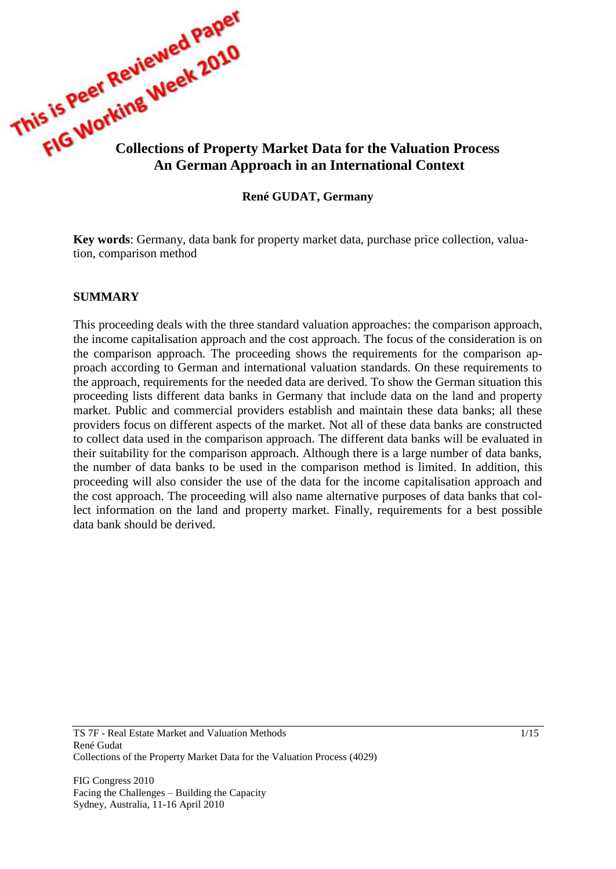

#### **René GUDAT, Germany**

**Key words**: Germany, data bank for property market data, purchase price collection, valuation, comparison method

#### **SUMMARY**

This proceeding deals with the three standard valuation approaches: the comparison approach, the income capitalisation approach and the cost approach. The focus of the consideration is on the comparison approach. The proceeding shows the requirements for the comparison approach according to German and international valuation standards. On these requirements to the approach, requirements for the needed data are derived. To show the German situation this proceeding lists different data banks in Germany that include data on the land and property market. Public and commercial providers establish and maintain these data banks; all these providers focus on different aspects of the market. Not all of these data banks are constructed to collect data used in the comparison approach. The different data banks will be evaluated in their suitability for the comparison approach. Although there is a large number of data banks, the number of data banks to be used in the comparison method is limited. In addition, this proceeding will also consider the use of the data for the income capitalisation approach and the cost approach. The proceeding will also name alternative purposes of data banks that collect information on the land and property market. Finally, requirements for a best possible data bank should be derived.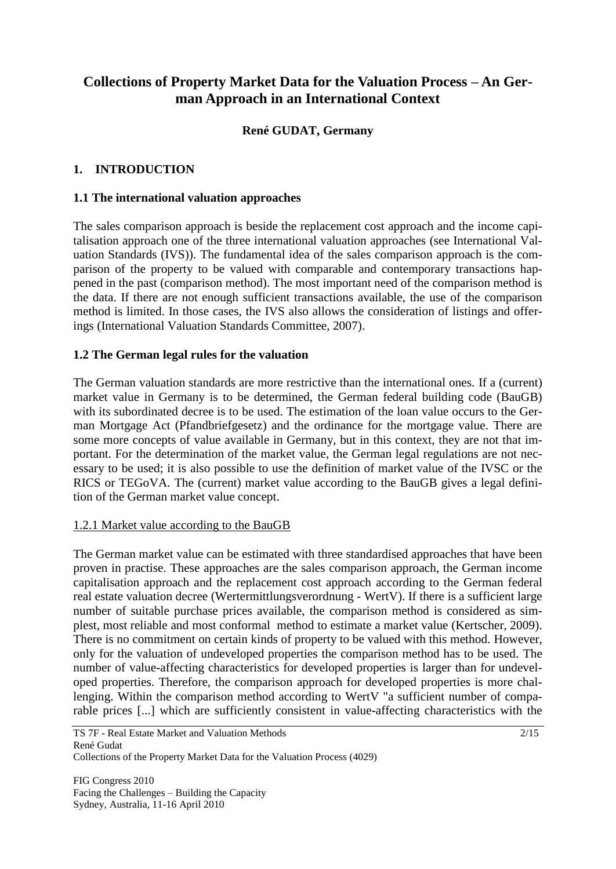# **Collections of Property Market Data for the Valuation Process – An German Approach in an International Context**

# **René GUDAT, Germany**

### **1. INTRODUCTION**

#### **1.1 The international valuation approaches**

The sales comparison approach is beside the replacement cost approach and the income capitalisation approach one of the three international valuation approaches (see International Valuation Standards (IVS)). The fundamental idea of the sales comparison approach is the comparison of the property to be valued with comparable and contemporary transactions happened in the past (comparison method). The most important need of the comparison method is the data. If there are not enough sufficient transactions available, the use of the comparison method is limited. In those cases, the IVS also allows the consideration of listings and offerings (International Valuation Standards Committee, 2007).

### **1.2 The German legal rules for the valuation**

The German valuation standards are more restrictive than the international ones. If a (current) market value in Germany is to be determined, the German federal building code (BauGB) with its subordinated decree is to be used. The estimation of the loan value occurs to the German Mortgage Act (Pfandbriefgesetz) and the ordinance for the mortgage value. There are some more concepts of value available in Germany, but in this context, they are not that important. For the determination of the market value, the German legal regulations are not necessary to be used; it is also possible to use the definition of market value of the IVSC or the RICS or TEGoVA. The (current) market value according to the BauGB gives a legal definition of the German market value concept.

### 1.2.1 Market value according to the BauGB

The German market value can be estimated with three standardised approaches that have been proven in practise. These approaches are the sales comparison approach, the German income capitalisation approach and the replacement cost approach according to the German federal real estate valuation decree (Wertermittlungsverordnung - WertV). If there is a sufficient large number of suitable purchase prices available, the comparison method is considered as simplest, most reliable and most conformal method to estimate a market value (Kertscher, 2009). There is no commitment on certain kinds of property to be valued with this method. However, only for the valuation of undeveloped properties the comparison method has to be used. The number of value-affecting characteristics for developed properties is larger than for undeveloped properties. Therefore, the comparison approach for developed properties is more challenging. Within the comparison method according to WertV "a sufficient number of comparable prices [...] which are sufficiently consistent in value-affecting characteristics with the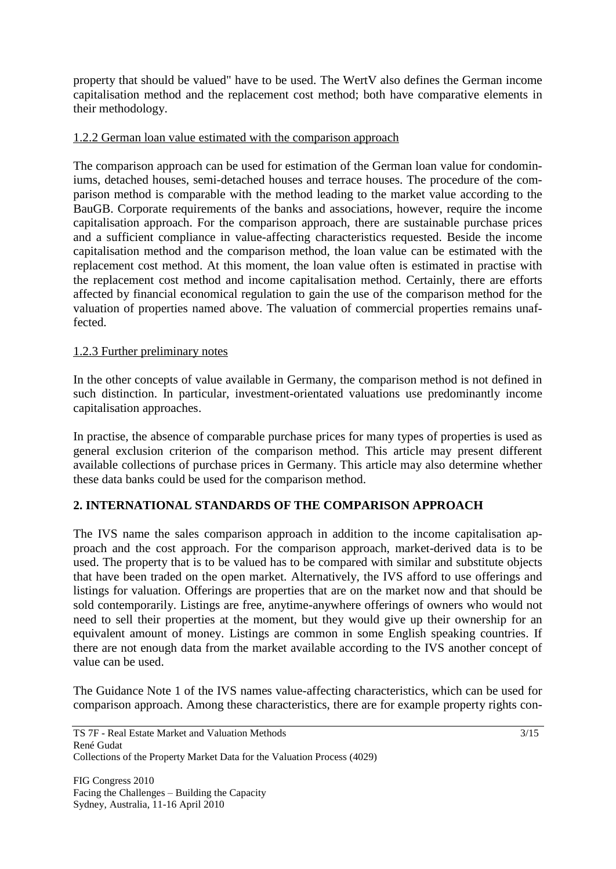property that should be valued" have to be used. The WertV also defines the German income capitalisation method and the replacement cost method; both have comparative elements in their methodology.

#### 1.2.2 German loan value estimated with the comparison approach

The comparison approach can be used for estimation of the German loan value for condominiums, detached houses, semi-detached houses and terrace houses. The procedure of the comparison method is comparable with the method leading to the market value according to the BauGB. Corporate requirements of the banks and associations, however, require the income capitalisation approach. For the comparison approach, there are sustainable purchase prices and a sufficient compliance in value-affecting characteristics requested. Beside the income capitalisation method and the comparison method, the loan value can be estimated with the replacement cost method. At this moment, the loan value often is estimated in practise with the replacement cost method and income capitalisation method. Certainly, there are efforts affected by financial economical regulation to gain the use of the comparison method for the valuation of properties named above. The valuation of commercial properties remains unaffected.

#### 1.2.3 Further preliminary notes

In the other concepts of value available in Germany, the comparison method is not defined in such distinction. In particular, investment-orientated valuations use predominantly income capitalisation approaches.

In practise, the absence of comparable purchase prices for many types of properties is used as general exclusion criterion of the comparison method. This article may present different available collections of purchase prices in Germany. This article may also determine whether these data banks could be used for the comparison method.

### **2. INTERNATIONAL STANDARDS OF THE COMPARISON APPROACH**

The IVS name the sales comparison approach in addition to the income capitalisation approach and the cost approach. For the comparison approach, market-derived data is to be used. The property that is to be valued has to be compared with similar and substitute objects that have been traded on the open market. Alternatively, the IVS afford to use offerings and listings for valuation. Offerings are properties that are on the market now and that should be sold contemporarily. Listings are free, anytime-anywhere offerings of owners who would not need to sell their properties at the moment, but they would give up their ownership for an equivalent amount of money. Listings are common in some English speaking countries. If there are not enough data from the market available according to the IVS another concept of value can be used.

The Guidance Note 1 of the IVS names value-affecting characteristics, which can be used for comparison approach. Among these characteristics, there are for example property rights con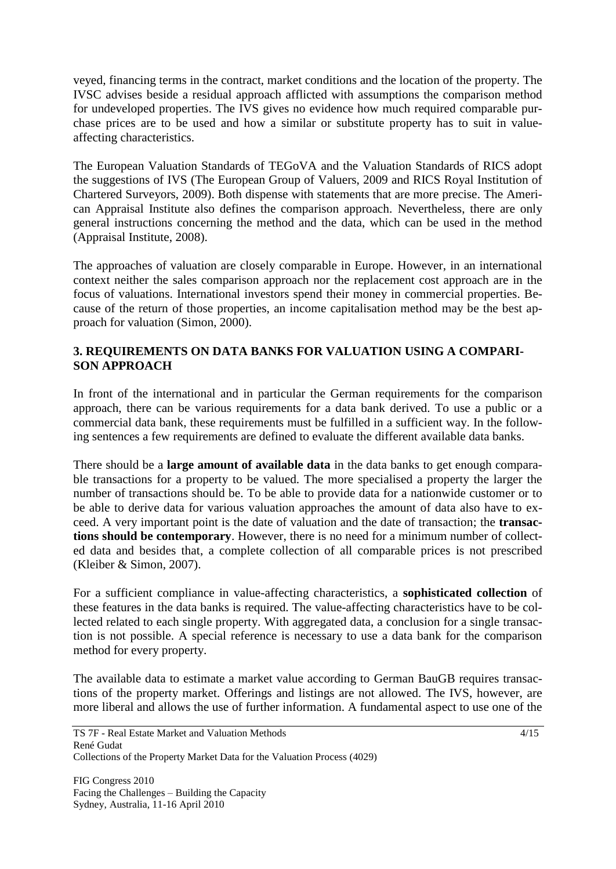veyed, financing terms in the contract, market conditions and the location of the property. The IVSC advises beside a residual approach afflicted with assumptions the comparison method for undeveloped properties. The IVS gives no evidence how much required comparable purchase prices are to be used and how a similar or substitute property has to suit in valueaffecting characteristics.

The European Valuation Standards of TEGoVA and the Valuation Standards of RICS adopt the suggestions of IVS (The European Group of Valuers, 2009 and RICS Royal Institution of Chartered Surveyors, 2009). Both dispense with statements that are more precise. The American Appraisal Institute also defines the comparison approach. Nevertheless, there are only general instructions concerning the method and the data, which can be used in the method (Appraisal Institute, 2008).

The approaches of valuation are closely comparable in Europe. However, in an international context neither the sales comparison approach nor the replacement cost approach are in the focus of valuations. International investors spend their money in commercial properties. Because of the return of those properties, an income capitalisation method may be the best approach for valuation (Simon, 2000).

# **3. REQUIREMENTS ON DATA BANKS FOR VALUATION USING A COMPARI-SON APPROACH**

In front of the international and in particular the German requirements for the comparison approach, there can be various requirements for a data bank derived. To use a public or a commercial data bank, these requirements must be fulfilled in a sufficient way. In the following sentences a few requirements are defined to evaluate the different available data banks.

There should be a **large amount of available data** in the data banks to get enough comparable transactions for a property to be valued. The more specialised a property the larger the number of transactions should be. To be able to provide data for a nationwide customer or to be able to derive data for various valuation approaches the amount of data also have to exceed. A very important point is the date of valuation and the date of transaction; the **transactions should be contemporary**. However, there is no need for a minimum number of collected data and besides that, a complete collection of all comparable prices is not prescribed (Kleiber & Simon, 2007).

For a sufficient compliance in value-affecting characteristics, a **sophisticated collection** of these features in the data banks is required. The value-affecting characteristics have to be collected related to each single property. With aggregated data, a conclusion for a single transaction is not possible. A special reference is necessary to use a data bank for the comparison method for every property.

The available data to estimate a market value according to German BauGB requires transactions of the property market. Offerings and listings are not allowed. The IVS, however, are more liberal and allows the use of further information. A fundamental aspect to use one of the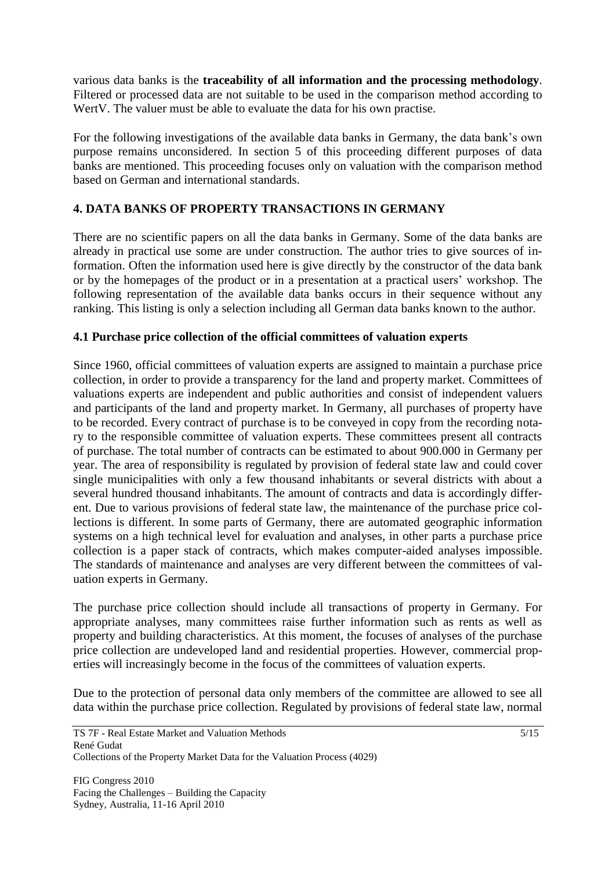various data banks is the **traceability of all information and the processing methodology**. Filtered or processed data are not suitable to be used in the comparison method according to Wert V. The valuer must be able to evaluate the data for his own practise.

For the following investigations of the available data banks in Germany, the data bank's own purpose remains unconsidered. In section 5 of this proceeding different purposes of data banks are mentioned. This proceeding focuses only on valuation with the comparison method based on German and international standards.

# **4. DATA BANKS OF PROPERTY TRANSACTIONS IN GERMANY**

There are no scientific papers on all the data banks in Germany. Some of the data banks are already in practical use some are under construction. The author tries to give sources of information. Often the information used here is give directly by the constructor of the data bank or by the homepages of the product or in a presentation at a practical users' workshop. The following representation of the available data banks occurs in their sequence without any ranking. This listing is only a selection including all German data banks known to the author.

# **4.1 Purchase price collection of the official committees of valuation experts**

Since 1960, official committees of valuation experts are assigned to maintain a purchase price collection, in order to provide a transparency for the land and property market. Committees of valuations experts are independent and public authorities and consist of independent valuers and participants of the land and property market. In Germany, all purchases of property have to be recorded. Every contract of purchase is to be conveyed in copy from the recording notary to the responsible committee of valuation experts. These committees present all contracts of purchase. The total number of contracts can be estimated to about 900.000 in Germany per year. The area of responsibility is regulated by provision of federal state law and could cover single municipalities with only a few thousand inhabitants or several districts with about a several hundred thousand inhabitants. The amount of contracts and data is accordingly different. Due to various provisions of federal state law, the maintenance of the purchase price collections is different. In some parts of Germany, there are automated geographic information systems on a high technical level for evaluation and analyses, in other parts a purchase price collection is a paper stack of contracts, which makes computer-aided analyses impossible. The standards of maintenance and analyses are very different between the committees of valuation experts in Germany.

The purchase price collection should include all transactions of property in Germany. For appropriate analyses, many committees raise further information such as rents as well as property and building characteristics. At this moment, the focuses of analyses of the purchase price collection are undeveloped land and residential properties. However, commercial properties will increasingly become in the focus of the committees of valuation experts.

Due to the protection of personal data only members of the committee are allowed to see all data within the purchase price collection. Regulated by provisions of federal state law, normal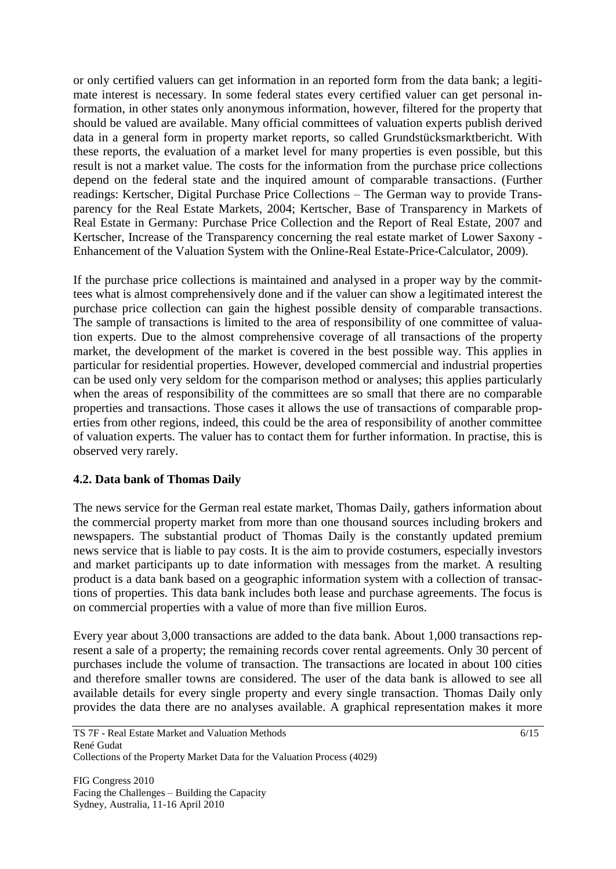or only certified valuers can get information in an reported form from the data bank; a legitimate interest is necessary. In some federal states every certified valuer can get personal information, in other states only anonymous information, however, filtered for the property that should be valued are available. Many official committees of valuation experts publish derived data in a general form in property market reports, so called Grundstücksmarktbericht. With these reports, the evaluation of a market level for many properties is even possible, but this result is not a market value. The costs for the information from the purchase price collections depend on the federal state and the inquired amount of comparable transactions. (Further readings: Kertscher, Digital Purchase Price Collections – The German way to provide Transparency for the Real Estate Markets, 2004; Kertscher, Base of Transparency in Markets of Real Estate in Germany: Purchase Price Collection and the Report of Real Estate, 2007 and Kertscher, Increase of the Transparency concerning the real estate market of Lower Saxony - Enhancement of the Valuation System with the Online-Real Estate-Price-Calculator, 2009).

If the purchase price collections is maintained and analysed in a proper way by the committees what is almost comprehensively done and if the valuer can show a legitimated interest the purchase price collection can gain the highest possible density of comparable transactions. The sample of transactions is limited to the area of responsibility of one committee of valuation experts. Due to the almost comprehensive coverage of all transactions of the property market, the development of the market is covered in the best possible way. This applies in particular for residential properties. However, developed commercial and industrial properties can be used only very seldom for the comparison method or analyses; this applies particularly when the areas of responsibility of the committees are so small that there are no comparable properties and transactions. Those cases it allows the use of transactions of comparable properties from other regions, indeed, this could be the area of responsibility of another committee of valuation experts. The valuer has to contact them for further information. In practise, this is observed very rarely.

### **4.2. Data bank of Thomas Daily**

The news service for the German real estate market, Thomas Daily, gathers information about the commercial property market from more than one thousand sources including brokers and newspapers. The substantial product of Thomas Daily is the constantly updated premium news service that is liable to pay costs. It is the aim to provide costumers, especially investors and market participants up to date information with messages from the market. A resulting product is a data bank based on a geographic information system with a collection of transactions of properties. This data bank includes both lease and purchase agreements. The focus is on commercial properties with a value of more than five million Euros.

Every year about 3,000 transactions are added to the data bank. About 1,000 transactions represent a sale of a property; the remaining records cover rental agreements. Only 30 percent of purchases include the volume of transaction. The transactions are located in about 100 cities and therefore smaller towns are considered. The user of the data bank is allowed to see all available details for every single property and every single transaction. Thomas Daily only provides the data there are no analyses available. A graphical representation makes it more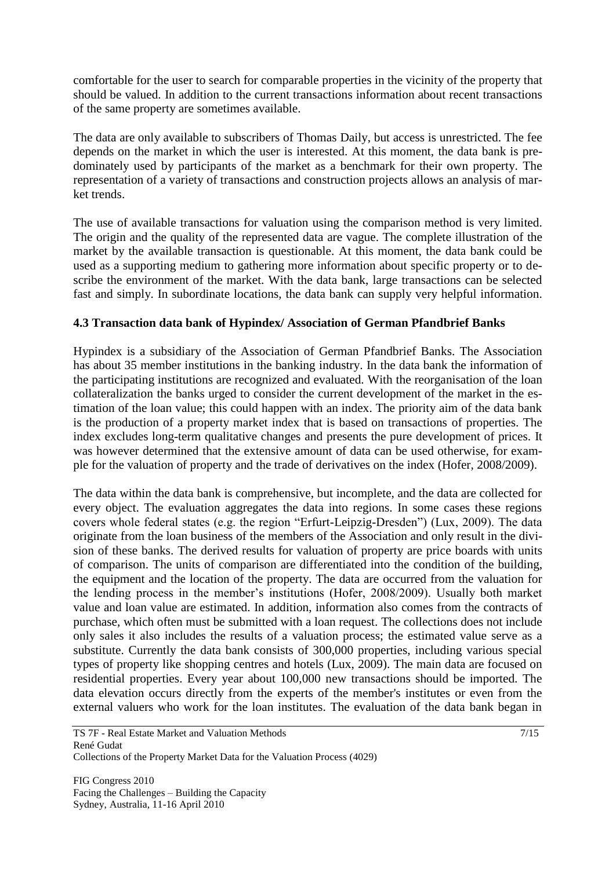comfortable for the user to search for comparable properties in the vicinity of the property that should be valued. In addition to the current transactions information about recent transactions of the same property are sometimes available.

The data are only available to subscribers of Thomas Daily, but access is unrestricted. The fee depends on the market in which the user is interested. At this moment, the data bank is predominately used by participants of the market as a benchmark for their own property. The representation of a variety of transactions and construction projects allows an analysis of market trends.

The use of available transactions for valuation using the comparison method is very limited. The origin and the quality of the represented data are vague. The complete illustration of the market by the available transaction is questionable. At this moment, the data bank could be used as a supporting medium to gathering more information about specific property or to describe the environment of the market. With the data bank, large transactions can be selected fast and simply. In subordinate locations, the data bank can supply very helpful information.

# **4.3 Transaction data bank of Hypindex/ Association of German Pfandbrief Banks**

Hypindex is a subsidiary of the Association of German Pfandbrief Banks. The Association has about 35 member institutions in the banking industry. In the data bank the information of the participating institutions are recognized and evaluated. With the reorganisation of the loan collateralization the banks urged to consider the current development of the market in the estimation of the loan value; this could happen with an index. The priority aim of the data bank is the production of a property market index that is based on transactions of properties. The index excludes long-term qualitative changes and presents the pure development of prices. It was however determined that the extensive amount of data can be used otherwise, for example for the valuation of property and the trade of derivatives on the index (Hofer, 2008/2009).

The data within the data bank is comprehensive, but incomplete, and the data are collected for every object. The evaluation aggregates the data into regions. In some cases these regions covers whole federal states (e.g. the region "Erfurt-Leipzig-Dresden") (Lux, 2009). The data originate from the loan business of the members of the Association and only result in the division of these banks. The derived results for valuation of property are price boards with units of comparison. The units of comparison are differentiated into the condition of the building, the equipment and the location of the property. The data are occurred from the valuation for the lending process in the member's institutions (Hofer, 2008/2009). Usually both market value and loan value are estimated. In addition, information also comes from the contracts of purchase, which often must be submitted with a loan request. The collections does not include only sales it also includes the results of a valuation process; the estimated value serve as a substitute. Currently the data bank consists of 300,000 properties, including various special types of property like shopping centres and hotels (Lux, 2009). The main data are focused on residential properties. Every year about 100,000 new transactions should be imported. The data elevation occurs directly from the experts of the member's institutes or even from the external valuers who work for the loan institutes. The evaluation of the data bank began in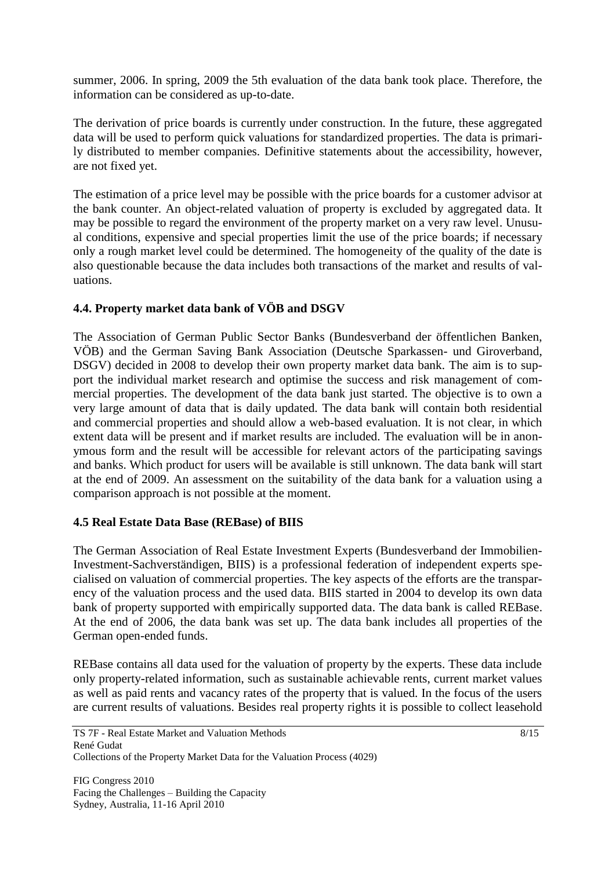summer, 2006. In spring, 2009 the 5th evaluation of the data bank took place. Therefore, the information can be considered as up-to-date.

The derivation of price boards is currently under construction. In the future, these aggregated data will be used to perform quick valuations for standardized properties. The data is primarily distributed to member companies. Definitive statements about the accessibility, however, are not fixed yet.

The estimation of a price level may be possible with the price boards for a customer advisor at the bank counter. An object-related valuation of property is excluded by aggregated data. It may be possible to regard the environment of the property market on a very raw level. Unusual conditions, expensive and special properties limit the use of the price boards; if necessary only a rough market level could be determined. The homogeneity of the quality of the date is also questionable because the data includes both transactions of the market and results of valuations.

# **4.4. Property market data bank of VÖB and DSGV**

The Association of German Public Sector Banks (Bundesverband der öffentlichen Banken, VÖB) and the German Saving Bank Association (Deutsche Sparkassen- und Giroverband, DSGV) decided in 2008 to develop their own property market data bank. The aim is to support the individual market research and optimise the success and risk management of commercial properties. The development of the data bank just started. The objective is to own a very large amount of data that is daily updated. The data bank will contain both residential and commercial properties and should allow a web-based evaluation. It is not clear, in which extent data will be present and if market results are included. The evaluation will be in anonymous form and the result will be accessible for relevant actors of the participating savings and banks. Which product for users will be available is still unknown. The data bank will start at the end of 2009. An assessment on the suitability of the data bank for a valuation using a comparison approach is not possible at the moment.

### **4.5 Real Estate Data Base (REBase) of BIIS**

The German Association of Real Estate Investment Experts (Bundesverband der Immobilien-Investment-Sachverständigen, BIIS) is a professional federation of independent experts specialised on valuation of commercial properties. The key aspects of the efforts are the transparency of the valuation process and the used data. BIIS started in 2004 to develop its own data bank of property supported with empirically supported data. The data bank is called REBase. At the end of 2006, the data bank was set up. The data bank includes all properties of the German open-ended funds.

REBase contains all data used for the valuation of property by the experts. These data include only property-related information, such as sustainable achievable rents, current market values as well as paid rents and vacancy rates of the property that is valued. In the focus of the users are current results of valuations. Besides real property rights it is possible to collect leasehold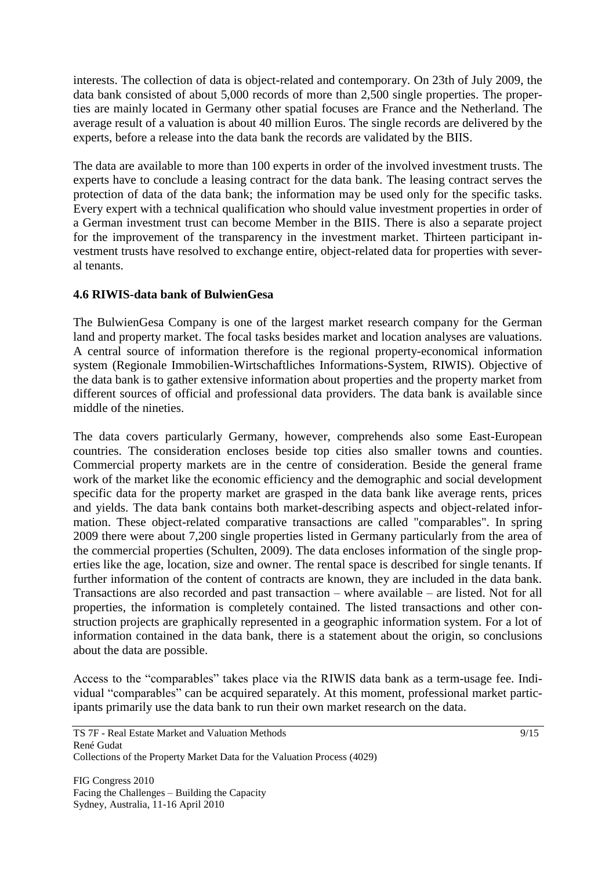interests. The collection of data is object-related and contemporary. On 23th of July 2009, the data bank consisted of about 5,000 records of more than 2,500 single properties. The properties are mainly located in Germany other spatial focuses are France and the Netherland. The average result of a valuation is about 40 million Euros. The single records are delivered by the experts, before a release into the data bank the records are validated by the BIIS.

The data are available to more than 100 experts in order of the involved investment trusts. The experts have to conclude a leasing contract for the data bank. The leasing contract serves the protection of data of the data bank; the information may be used only for the specific tasks. Every expert with a technical qualification who should value investment properties in order of a German investment trust can become Member in the BIIS. There is also a separate project for the improvement of the transparency in the investment market. Thirteen participant investment trusts have resolved to exchange entire, object-related data for properties with several tenants.

# **4.6 RIWIS-data bank of BulwienGesa**

The BulwienGesa Company is one of the largest market research company for the German land and property market. The focal tasks besides market and location analyses are valuations. A central source of information therefore is the regional property-economical information system (Regionale Immobilien-Wirtschaftliches Informations-System, RIWIS). Objective of the data bank is to gather extensive information about properties and the property market from different sources of official and professional data providers. The data bank is available since middle of the nineties.

The data covers particularly Germany, however, comprehends also some East-European countries. The consideration encloses beside top cities also smaller towns and counties. Commercial property markets are in the centre of consideration. Beside the general frame work of the market like the economic efficiency and the demographic and social development specific data for the property market are grasped in the data bank like average rents, prices and yields. The data bank contains both market-describing aspects and object-related information. These object-related comparative transactions are called "comparables". In spring 2009 there were about 7,200 single properties listed in Germany particularly from the area of the commercial properties (Schulten, 2009). The data encloses information of the single properties like the age, location, size and owner. The rental space is described for single tenants. If further information of the content of contracts are known, they are included in the data bank. Transactions are also recorded and past transaction – where available – are listed. Not for all properties, the information is completely contained. The listed transactions and other construction projects are graphically represented in a geographic information system. For a lot of information contained in the data bank, there is a statement about the origin, so conclusions about the data are possible.

Access to the "comparables" takes place via the RIWIS data bank as a term-usage fee. Individual "comparables" can be acquired separately. At this moment, professional market participants primarily use the data bank to run their own market research on the data.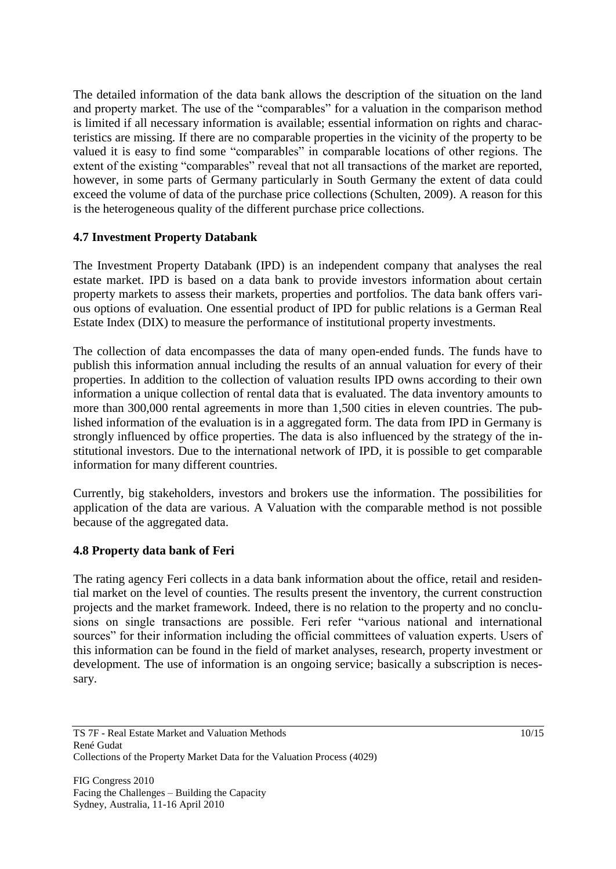The detailed information of the data bank allows the description of the situation on the land and property market. The use of the "comparables" for a valuation in the comparison method is limited if all necessary information is available; essential information on rights and characteristics are missing. If there are no comparable properties in the vicinity of the property to be valued it is easy to find some "comparables" in comparable locations of other regions. The extent of the existing "comparables" reveal that not all transactions of the market are reported, however, in some parts of Germany particularly in South Germany the extent of data could exceed the volume of data of the purchase price collections (Schulten, 2009). A reason for this is the heterogeneous quality of the different purchase price collections.

# **4.7 Investment Property Databank**

The Investment Property Databank (IPD) is an independent company that analyses the real estate market. IPD is based on a data bank to provide investors information about certain property markets to assess their markets, properties and portfolios. The data bank offers various options of evaluation. One essential product of IPD for public relations is a German Real Estate Index (DIX) to measure the performance of institutional property investments.

The collection of data encompasses the data of many open-ended funds. The funds have to publish this information annual including the results of an annual valuation for every of their properties. In addition to the collection of valuation results IPD owns according to their own information a unique collection of rental data that is evaluated. The data inventory amounts to more than 300,000 rental agreements in more than 1,500 cities in eleven countries. The published information of the evaluation is in a aggregated form. The data from IPD in Germany is strongly influenced by office properties. The data is also influenced by the strategy of the institutional investors. Due to the international network of IPD, it is possible to get comparable information for many different countries.

Currently, big stakeholders, investors and brokers use the information. The possibilities for application of the data are various. A Valuation with the comparable method is not possible because of the aggregated data.

### **4.8 Property data bank of Feri**

The rating agency Feri collects in a data bank information about the office, retail and residential market on the level of counties. The results present the inventory, the current construction projects and the market framework. Indeed, there is no relation to the property and no conclusions on single transactions are possible. Feri refer "various national and international sources" for their information including the official committees of valuation experts. Users of this information can be found in the field of market analyses, research, property investment or development. The use of information is an ongoing service; basically a subscription is necessary.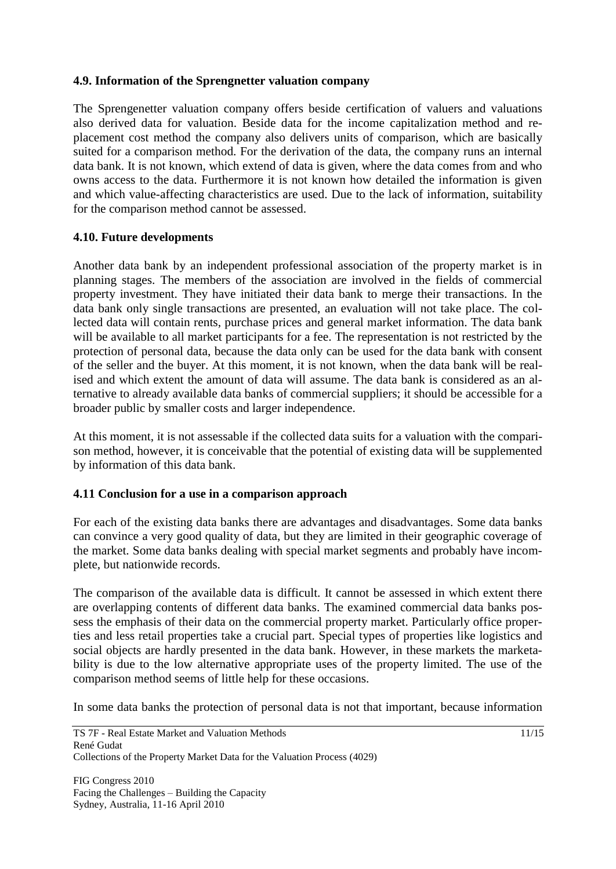#### **4.9. Information of the Sprengnetter valuation company**

The Sprengenetter valuation company offers beside certification of valuers and valuations also derived data for valuation. Beside data for the income capitalization method and replacement cost method the company also delivers units of comparison, which are basically suited for a comparison method. For the derivation of the data, the company runs an internal data bank. It is not known, which extend of data is given, where the data comes from and who owns access to the data. Furthermore it is not known how detailed the information is given and which value-affecting characteristics are used. Due to the lack of information, suitability for the comparison method cannot be assessed.

### **4.10. Future developments**

Another data bank by an independent professional association of the property market is in planning stages. The members of the association are involved in the fields of commercial property investment. They have initiated their data bank to merge their transactions. In the data bank only single transactions are presented, an evaluation will not take place. The collected data will contain rents, purchase prices and general market information. The data bank will be available to all market participants for a fee. The representation is not restricted by the protection of personal data, because the data only can be used for the data bank with consent of the seller and the buyer. At this moment, it is not known, when the data bank will be realised and which extent the amount of data will assume. The data bank is considered as an alternative to already available data banks of commercial suppliers; it should be accessible for a broader public by smaller costs and larger independence.

At this moment, it is not assessable if the collected data suits for a valuation with the comparison method, however, it is conceivable that the potential of existing data will be supplemented by information of this data bank.

### **4.11 Conclusion for a use in a comparison approach**

For each of the existing data banks there are advantages and disadvantages. Some data banks can convince a very good quality of data, but they are limited in their geographic coverage of the market. Some data banks dealing with special market segments and probably have incomplete, but nationwide records.

The comparison of the available data is difficult. It cannot be assessed in which extent there are overlapping contents of different data banks. The examined commercial data banks possess the emphasis of their data on the commercial property market. Particularly office properties and less retail properties take a crucial part. Special types of properties like logistics and social objects are hardly presented in the data bank. However, in these markets the marketability is due to the low alternative appropriate uses of the property limited. The use of the comparison method seems of little help for these occasions.

In some data banks the protection of personal data is not that important, because information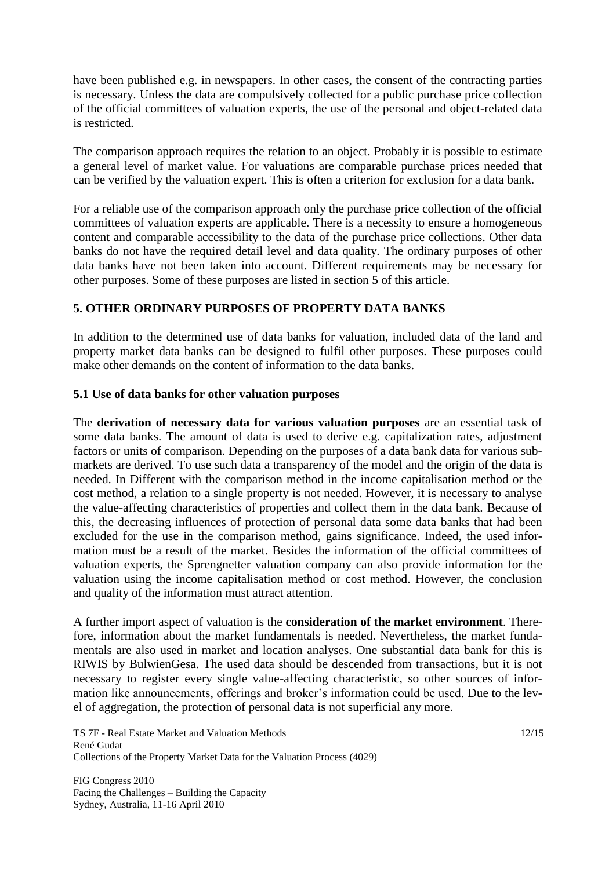have been published e.g. in newspapers. In other cases, the consent of the contracting parties is necessary. Unless the data are compulsively collected for a public purchase price collection of the official committees of valuation experts, the use of the personal and object-related data is restricted.

The comparison approach requires the relation to an object. Probably it is possible to estimate a general level of market value. For valuations are comparable purchase prices needed that can be verified by the valuation expert. This is often a criterion for exclusion for a data bank.

For a reliable use of the comparison approach only the purchase price collection of the official committees of valuation experts are applicable. There is a necessity to ensure a homogeneous content and comparable accessibility to the data of the purchase price collections. Other data banks do not have the required detail level and data quality. The ordinary purposes of other data banks have not been taken into account. Different requirements may be necessary for other purposes. Some of these purposes are listed in section 5 of this article.

# **5. OTHER ORDINARY PURPOSES OF PROPERTY DATA BANKS**

In addition to the determined use of data banks for valuation, included data of the land and property market data banks can be designed to fulfil other purposes. These purposes could make other demands on the content of information to the data banks.

### **5.1 Use of data banks for other valuation purposes**

The **derivation of necessary data for various valuation purposes** are an essential task of some data banks. The amount of data is used to derive e.g. capitalization rates, adjustment factors or units of comparison. Depending on the purposes of a data bank data for various submarkets are derived. To use such data a transparency of the model and the origin of the data is needed. In Different with the comparison method in the income capitalisation method or the cost method, a relation to a single property is not needed. However, it is necessary to analyse the value-affecting characteristics of properties and collect them in the data bank. Because of this, the decreasing influences of protection of personal data some data banks that had been excluded for the use in the comparison method, gains significance. Indeed, the used information must be a result of the market. Besides the information of the official committees of valuation experts, the Sprengnetter valuation company can also provide information for the valuation using the income capitalisation method or cost method. However, the conclusion and quality of the information must attract attention.

A further import aspect of valuation is the **consideration of the market environment**. Therefore, information about the market fundamentals is needed. Nevertheless, the market fundamentals are also used in market and location analyses. One substantial data bank for this is RIWIS by BulwienGesa. The used data should be descended from transactions, but it is not necessary to register every single value-affecting characteristic, so other sources of information like announcements, offerings and broker's information could be used. Due to the level of aggregation, the protection of personal data is not superficial any more.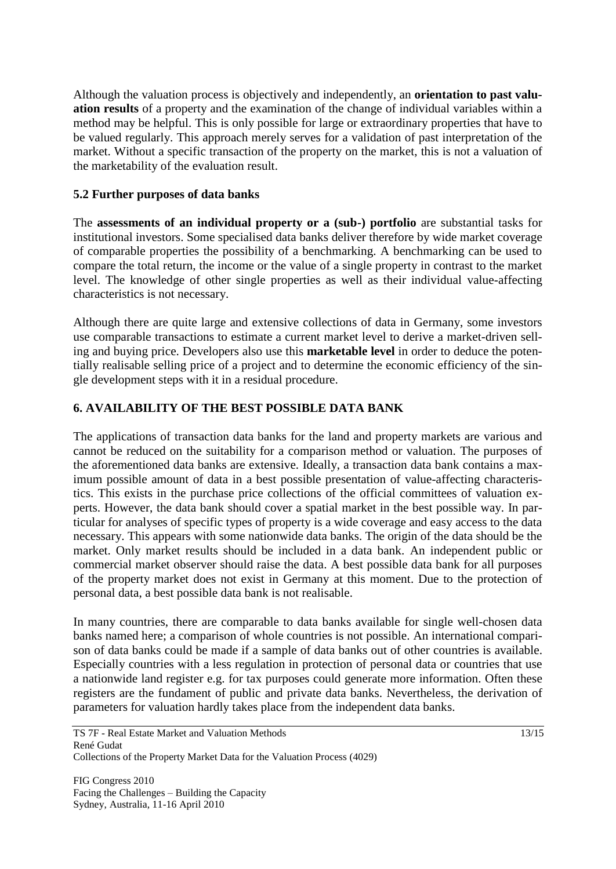Although the valuation process is objectively and independently, an **orientation to past valuation results** of a property and the examination of the change of individual variables within a method may be helpful. This is only possible for large or extraordinary properties that have to be valued regularly. This approach merely serves for a validation of past interpretation of the market. Without a specific transaction of the property on the market, this is not a valuation of the marketability of the evaluation result.

# **5.2 Further purposes of data banks**

The **assessments of an individual property or a (sub-) portfolio** are substantial tasks for institutional investors. Some specialised data banks deliver therefore by wide market coverage of comparable properties the possibility of a benchmarking. A benchmarking can be used to compare the total return, the income or the value of a single property in contrast to the market level. The knowledge of other single properties as well as their individual value-affecting characteristics is not necessary.

Although there are quite large and extensive collections of data in Germany, some investors use comparable transactions to estimate a current market level to derive a market-driven selling and buying price. Developers also use this **marketable level** in order to deduce the potentially realisable selling price of a project and to determine the economic efficiency of the single development steps with it in a residual procedure.

# **6. AVAILABILITY OF THE BEST POSSIBLE DATA BANK**

The applications of transaction data banks for the land and property markets are various and cannot be reduced on the suitability for a comparison method or valuation. The purposes of the aforementioned data banks are extensive. Ideally, a transaction data bank contains a maximum possible amount of data in a best possible presentation of value-affecting characteristics. This exists in the purchase price collections of the official committees of valuation experts. However, the data bank should cover a spatial market in the best possible way. In particular for analyses of specific types of property is a wide coverage and easy access to the data necessary. This appears with some nationwide data banks. The origin of the data should be the market. Only market results should be included in a data bank. An independent public or commercial market observer should raise the data. A best possible data bank for all purposes of the property market does not exist in Germany at this moment. Due to the protection of personal data, a best possible data bank is not realisable.

In many countries, there are comparable to data banks available for single well-chosen data banks named here; a comparison of whole countries is not possible. An international comparison of data banks could be made if a sample of data banks out of other countries is available. Especially countries with a less regulation in protection of personal data or countries that use a nationwide land register e.g. for tax purposes could generate more information. Often these registers are the fundament of public and private data banks. Nevertheless, the derivation of parameters for valuation hardly takes place from the independent data banks.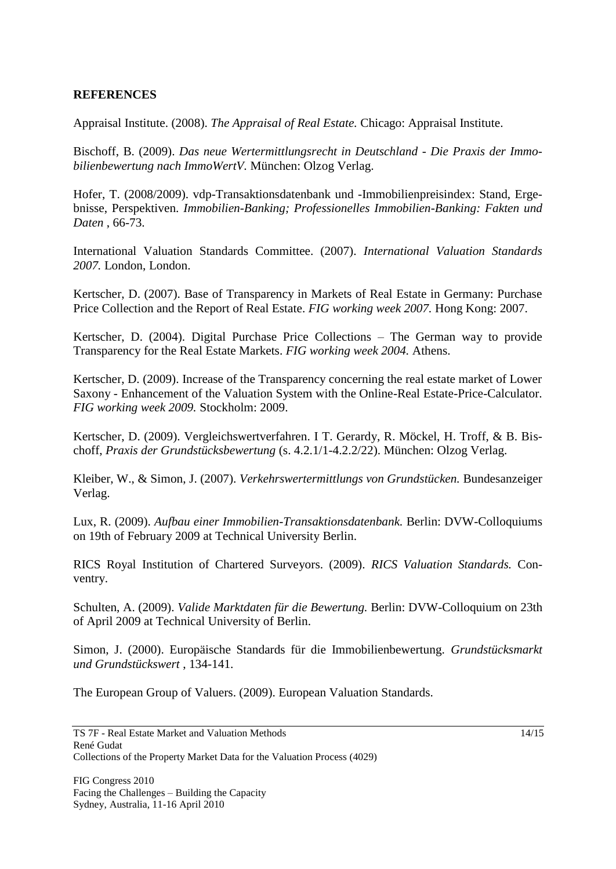### **REFERENCES**

Appraisal Institute. (2008). *The Appraisal of Real Estate.* Chicago: Appraisal Institute.

Bischoff, B. (2009). *Das neue Wertermittlungsrecht in Deutschland - Die Praxis der Immobilienbewertung nach ImmoWertV.* München: Olzog Verlag.

Hofer, T. (2008/2009). vdp-Transaktionsdatenbank und -Immobilienpreisindex: Stand, Ergebnisse, Perspektiven. *Immobilien-Banking; Professionelles Immobilien-Banking: Fakten und Daten* , 66-73.

International Valuation Standards Committee. (2007). *International Valuation Standards 2007.* London, London.

Kertscher, D. (2007). Base of Transparency in Markets of Real Estate in Germany: Purchase Price Collection and the Report of Real Estate. *FIG working week 2007.* Hong Kong: 2007.

Kertscher, D. (2004). Digital Purchase Price Collections – The German way to provide Transparency for the Real Estate Markets. *FIG working week 2004.* Athens.

Kertscher, D. (2009). Increase of the Transparency concerning the real estate market of Lower Saxony - Enhancement of the Valuation System with the Online-Real Estate-Price-Calculator. *FIG working week 2009.* Stockholm: 2009.

Kertscher, D. (2009). Vergleichswertverfahren. I T. Gerardy, R. Möckel, H. Troff, & B. Bischoff, *Praxis der Grundstücksbewertung* (s. 4.2.1/1-4.2.2/22). München: Olzog Verlag.

Kleiber, W., & Simon, J. (2007). *Verkehrswertermittlungs von Grundstücken.* Bundesanzeiger Verlag.

Lux, R. (2009). *Aufbau einer Immobilien-Transaktionsdatenbank.* Berlin: DVW-Colloquiums on 19th of February 2009 at Technical University Berlin.

RICS Royal Institution of Chartered Surveyors. (2009). *RICS Valuation Standards.* Conventry.

Schulten, A. (2009). *Valide Marktdaten für die Bewertung.* Berlin: DVW-Colloquium on 23th of April 2009 at Technical University of Berlin.

Simon, J. (2000). Europäische Standards für die Immobilienbewertung. *Grundstücksmarkt und Grundstückswert* , 134-141.

The European Group of Valuers. (2009). European Valuation Standards.